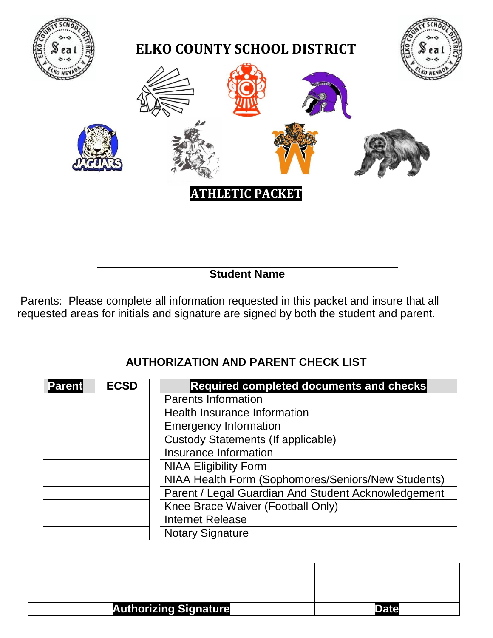

Parents: Please complete all information requested in this packet and insure that all requested areas for initials and signature are signed by both the student and parent.

## **AUTHORIZATION AND PARENT CHECK LIST**

| <b>Parent</b> | <b>ECSD</b> | Required completed documents and checks             |
|---------------|-------------|-----------------------------------------------------|
|               |             | <b>Parents Information</b>                          |
|               |             | <b>Health Insurance Information</b>                 |
|               |             | <b>Emergency Information</b>                        |
|               |             | <b>Custody Statements (If applicable)</b>           |
|               |             | Insurance Information                               |
|               |             | <b>NIAA Eligibility Form</b>                        |
|               |             | NIAA Health Form (Sophomores/Seniors/New Students)  |
|               |             | Parent / Legal Guardian And Student Acknowledgement |
|               |             | Knee Brace Waiver (Football Only)                   |
|               |             | <b>Internet Release</b>                             |
|               |             | <b>Notary Signature</b>                             |

| <b>Authorizing Signature</b> | )ate |
|------------------------------|------|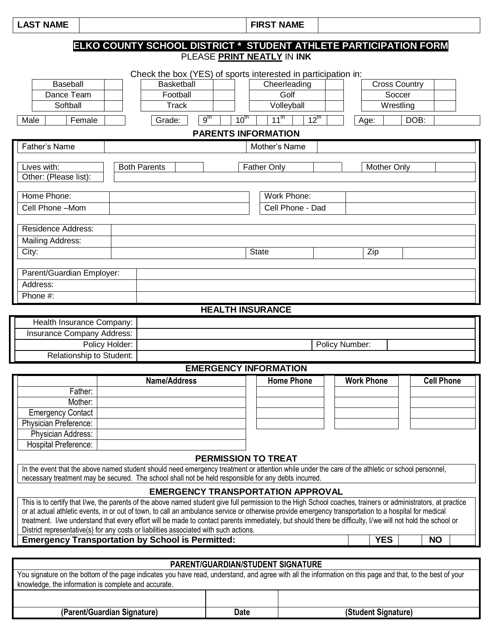LAST NAME

|                                                                                                                                                               |                                                                                    |                         |           | PLEASE PRINT NEATLY IN INK               |           | ELKO COUNTY SCHOOL DISTRICT * STUDENT ATHLETE PARTICIPATION FORM |           |                   |
|---------------------------------------------------------------------------------------------------------------------------------------------------------------|------------------------------------------------------------------------------------|-------------------------|-----------|------------------------------------------|-----------|------------------------------------------------------------------|-----------|-------------------|
|                                                                                                                                                               |                                                                                    |                         |           |                                          |           |                                                                  |           |                   |
| <b>Baseball</b>                                                                                                                                               | Check the box (YES) of sports interested in participation in:<br><b>Basketball</b> |                         |           | Cheerleading                             |           | <b>Cross Country</b>                                             |           |                   |
| Dance Team                                                                                                                                                    | Football                                                                           |                         |           | Golf                                     |           | Soccer                                                           |           |                   |
| Softball                                                                                                                                                      | $\overline{T}$ rack                                                                |                         |           | Volleyball                               |           | $\overline{W}$ restling                                          |           |                   |
|                                                                                                                                                               |                                                                                    |                         |           |                                          |           |                                                                  |           |                   |
| Male<br>Female                                                                                                                                                | Grade:                                                                             | 9 <sup>th</sup>         | $10^{th}$ | $11^{\text{th}}$                         | $12^{th}$ | Age:                                                             | DOB:      |                   |
|                                                                                                                                                               |                                                                                    |                         |           | <b>PARENTS INFORMATION</b>               |           |                                                                  |           |                   |
| <b>Father's Name</b>                                                                                                                                          |                                                                                    |                         |           | Mother's Name                            |           |                                                                  |           |                   |
| Lives with:                                                                                                                                                   | <b>Both Parents</b>                                                                |                         |           | <b>Father Only</b>                       |           | <b>Mother Only</b>                                               |           |                   |
| Other: (Please list):                                                                                                                                         |                                                                                    |                         |           |                                          |           |                                                                  |           |                   |
|                                                                                                                                                               |                                                                                    |                         |           |                                          |           |                                                                  |           |                   |
| Home Phone:                                                                                                                                                   |                                                                                    |                         |           | Work Phone:                              |           |                                                                  |           |                   |
| Cell Phone - Mom                                                                                                                                              |                                                                                    |                         |           | Cell Phone - Dad                         |           |                                                                  |           |                   |
| <b>Residence Address:</b>                                                                                                                                     |                                                                                    |                         |           |                                          |           |                                                                  |           |                   |
|                                                                                                                                                               |                                                                                    |                         |           |                                          |           |                                                                  |           |                   |
| Mailing Address:                                                                                                                                              |                                                                                    |                         |           |                                          |           |                                                                  |           |                   |
| City:                                                                                                                                                         |                                                                                    |                         |           | <b>State</b>                             |           | Zip                                                              |           |                   |
| Parent/Guardian Employer:                                                                                                                                     |                                                                                    |                         |           |                                          |           |                                                                  |           |                   |
| Address:                                                                                                                                                      |                                                                                    |                         |           |                                          |           |                                                                  |           |                   |
| Phone #:                                                                                                                                                      |                                                                                    |                         |           |                                          |           |                                                                  |           |                   |
|                                                                                                                                                               |                                                                                    | <b>HEALTH INSURANCE</b> |           |                                          |           |                                                                  |           |                   |
|                                                                                                                                                               |                                                                                    |                         |           |                                          |           |                                                                  |           |                   |
|                                                                                                                                                               |                                                                                    |                         |           |                                          |           |                                                                  |           |                   |
| Health Insurance Company:                                                                                                                                     |                                                                                    |                         |           |                                          |           |                                                                  |           |                   |
| <b>Insurance Company Address:</b><br>Policy Holder:                                                                                                           |                                                                                    |                         |           |                                          |           | Policy Number:                                                   |           |                   |
| Relationship to Student:                                                                                                                                      |                                                                                    |                         |           |                                          |           |                                                                  |           |                   |
|                                                                                                                                                               |                                                                                    |                         |           | <b>EMERGENCY INFORMATION</b>             |           |                                                                  |           |                   |
|                                                                                                                                                               | Name/Address                                                                       |                         |           | <b>Home Phone</b>                        |           | <b>Work Phone</b>                                                |           | <b>Cell Phone</b> |
| Father:                                                                                                                                                       |                                                                                    |                         |           |                                          |           |                                                                  |           |                   |
| Mother:                                                                                                                                                       |                                                                                    |                         |           |                                          |           |                                                                  |           |                   |
| <b>Emergency Contact</b>                                                                                                                                      |                                                                                    |                         |           |                                          |           |                                                                  |           |                   |
| Physician Preference:                                                                                                                                         |                                                                                    |                         |           |                                          |           |                                                                  |           |                   |
| Physician Address:                                                                                                                                            |                                                                                    |                         |           |                                          |           |                                                                  |           |                   |
| <b>Hospital Preference:</b>                                                                                                                                   |                                                                                    |                         |           |                                          |           |                                                                  |           |                   |
|                                                                                                                                                               |                                                                                    |                         |           | <b>PERMISSION TO TREAT</b>               |           |                                                                  |           |                   |
| In the event that the above named student should need emergency treatment or attention while under the care of the athletic or school personnel,              |                                                                                    |                         |           |                                          |           |                                                                  |           |                   |
| necessary treatment may be secured. The school shall not be held responsible for any debts incurred.                                                          |                                                                                    |                         |           |                                          |           |                                                                  |           |                   |
|                                                                                                                                                               |                                                                                    |                         |           | <b>EMERGENCY TRANSPORTATION APPROVAL</b> |           |                                                                  |           |                   |
| This is to certify that I/we, the parents of the above named student give full permission to the High School coaches, trainers or administrators, at practice |                                                                                    |                         |           |                                          |           |                                                                  |           |                   |
| or at actual athletic events, in or out of town, to call an ambulance service or otherwise provide emergency transportation to a hospital for medical         |                                                                                    |                         |           |                                          |           |                                                                  |           |                   |
| treatment. I/we understand that every effort will be made to contact parents immediately, but should there be difficulty, I/we will not hold the school or    |                                                                                    |                         |           |                                          |           |                                                                  |           |                   |
| District representative(s) for any costs or liabilities associated with such actions.<br><b>Emergency Transportation by School is Permitted:</b>              |                                                                                    |                         |           |                                          |           | <b>YES</b>                                                       | <b>NO</b> |                   |
|                                                                                                                                                               |                                                                                    |                         |           |                                          |           |                                                                  |           |                   |
| You signature on the bottom of the page indicates you have read, understand, and agree with all the information on this page and that, to the best of your    |                                                                                    |                         |           | PARENT/GUARDIAN/STUDENT SIGNATURE        |           |                                                                  |           |                   |

| I<br>. .<br>×<br>×<br>۰.<br>×<br>۰. |
|-------------------------------------|
|-------------------------------------|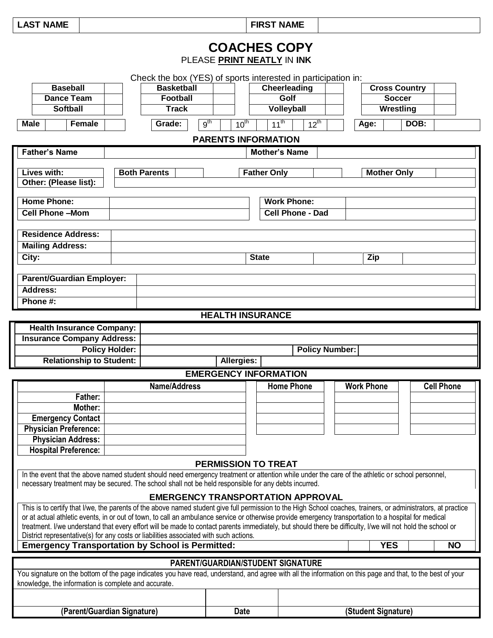**LAST NAME FIRST NAME**

ヿ

## **COACHES COPY** PLEASE **PRINT NEATLY** IN **INK**

|             | <b>Baseball</b>      | <b>Basketball</b>         |           | Cheerleading               |           |                    | <b>Cross Country</b> |
|-------------|----------------------|---------------------------|-----------|----------------------------|-----------|--------------------|----------------------|
|             | Dance Team           | <b>Football</b>           |           | Golf                       |           |                    | <b>Soccer</b>        |
|             | <b>Softball</b>      | Track                     |           | <b>Volleyball</b>          |           |                    | Wrestling            |
| <b>Male</b> | Female               | 9 <sup>th</sup><br>Grade: | $10^{th}$ | $11^{th}$                  | $12^{th}$ | Age:               | DOB:                 |
|             |                      |                           |           | <b>PARENTS INFORMATION</b> |           |                    |                      |
|             | <b>Father's Name</b> |                           |           | <b>Mother's Name</b>       |           |                    |                      |
|             |                      |                           |           |                            |           |                    |                      |
|             | Lives with:          | <b>Both Parents</b>       |           | <b>Father Only</b>         |           | <b>Mother Only</b> |                      |

|                                  | .                       |            |  |
|----------------------------------|-------------------------|------------|--|
| Other: (Please list):            |                         |            |  |
|                                  |                         |            |  |
| <b>Home Phone:</b>               | <b>Work Phone:</b>      |            |  |
| <b>Cell Phone-Mom</b>            | <b>Cell Phone - Dad</b> |            |  |
|                                  |                         |            |  |
| <b>Residence Address:</b>        |                         |            |  |
| <b>Mailing Address:</b>          |                         |            |  |
| City:                            | <b>State</b>            | <b>Zip</b> |  |
|                                  |                         |            |  |
| <b>Parent/Guardian Employer:</b> |                         |            |  |
| <b>Address:</b>                  |                         |            |  |
| Phone #:                         |                         |            |  |

### **HEALTH INSURANCE**

| <b>Health Insurance Company:</b>  |            |                       |  |
|-----------------------------------|------------|-----------------------|--|
| <b>Insurance Company Address:</b> |            |                       |  |
| <b>Policy Holder:</b>             |            | <b>Policy Number:</b> |  |
| <b>Relationship to Student:</b>   | Allergies: |                       |  |

### **EMERGENCY INFORMATION**

|                                                      |                                                                                                                                                                                                                                                                                                                                                                                                                                                                                                                                                                                | LIVILRULIVU I IIVI URIVATIUN             |                   |                   |            |                   |
|------------------------------------------------------|--------------------------------------------------------------------------------------------------------------------------------------------------------------------------------------------------------------------------------------------------------------------------------------------------------------------------------------------------------------------------------------------------------------------------------------------------------------------------------------------------------------------------------------------------------------------------------|------------------------------------------|-------------------|-------------------|------------|-------------------|
| Father:<br>Mother:                                   | <b>Name/Address</b>                                                                                                                                                                                                                                                                                                                                                                                                                                                                                                                                                            |                                          | <b>Home Phone</b> | <b>Work Phone</b> |            | <b>Cell Phone</b> |
| <b>Emergency Contact</b>                             |                                                                                                                                                                                                                                                                                                                                                                                                                                                                                                                                                                                |                                          |                   |                   |            |                   |
| <b>Physician Preference:</b>                         |                                                                                                                                                                                                                                                                                                                                                                                                                                                                                                                                                                                |                                          |                   |                   |            |                   |
| <b>Physician Address:</b>                            |                                                                                                                                                                                                                                                                                                                                                                                                                                                                                                                                                                                |                                          |                   |                   |            |                   |
| <b>Hospital Preference:</b>                          |                                                                                                                                                                                                                                                                                                                                                                                                                                                                                                                                                                                |                                          |                   |                   |            |                   |
|                                                      |                                                                                                                                                                                                                                                                                                                                                                                                                                                                                                                                                                                | <b>PERMISSION TO TREAT</b>               |                   |                   |            |                   |
|                                                      | In the event that the above named student should need emergency treatment or attention while under the care of the athletic or school personnel,<br>necessary treatment may be secured. The school shall not be held responsible for any debts incurred.                                                                                                                                                                                                                                                                                                                       |                                          |                   |                   |            |                   |
|                                                      |                                                                                                                                                                                                                                                                                                                                                                                                                                                                                                                                                                                | <b>EMERGENCY TRANSPORTATION APPROVAL</b> |                   |                   |            |                   |
|                                                      | This is to certify that I/we, the parents of the above named student give full permission to the High School coaches, trainers, or administrators, at practice<br>or at actual athletic events, in or out of town, to call an ambulance service or otherwise provide emergency transportation to a hospital for medical<br>treatment. I/we understand that every effort will be made to contact parents immediately, but should there be difficulty, I/we will not hold the school or<br>District representative(s) for any costs or liabilities associated with such actions. |                                          |                   |                   |            |                   |
|                                                      | <b>Emergency Transportation by School is Permitted:</b>                                                                                                                                                                                                                                                                                                                                                                                                                                                                                                                        |                                          |                   |                   | <b>YES</b> | <b>NO</b>         |
|                                                      |                                                                                                                                                                                                                                                                                                                                                                                                                                                                                                                                                                                | <b>PARENT/GUARDIAN/STUDENT SIGNATURE</b> |                   |                   |            |                   |
| knowledge, the information is complete and accurate. | You signature on the bottom of the page indicates you have read, understand, and agree with all the information on this page and that, to the best of your                                                                                                                                                                                                                                                                                                                                                                                                                     |                                          |                   |                   |            |                   |
|                                                      |                                                                                                                                                                                                                                                                                                                                                                                                                                                                                                                                                                                |                                          |                   |                   |            |                   |
|                                                      |                                                                                                                                                                                                                                                                                                                                                                                                                                                                                                                                                                                |                                          |                   |                   |            |                   |

**(Parent/Guardian Signature) Date (Student Signature)**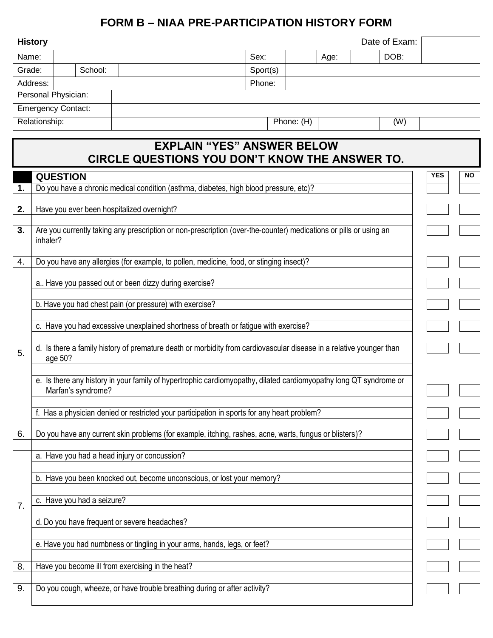## **FORM B – NIAA PRE-PARTICIPATION HISTORY FORM**

|        | <b>History</b>                                                                                                                          |                            |                                                                           |                                                                                                                   |      | Date of Exam: |            |     |  |
|--------|-----------------------------------------------------------------------------------------------------------------------------------------|----------------------------|---------------------------------------------------------------------------|-------------------------------------------------------------------------------------------------------------------|------|---------------|------------|-----|--|
| Name:  |                                                                                                                                         |                            |                                                                           | Sex:                                                                                                              | Age: | DOB:          |            |     |  |
| Grade: |                                                                                                                                         | School:                    |                                                                           | Sport(s)                                                                                                          |      |               |            |     |  |
|        | Address:                                                                                                                                |                            |                                                                           | Phone:                                                                                                            |      |               |            |     |  |
|        |                                                                                                                                         | Personal Physician:        |                                                                           |                                                                                                                   |      |               |            |     |  |
|        |                                                                                                                                         | <b>Emergency Contact:</b>  |                                                                           |                                                                                                                   |      |               |            |     |  |
|        | Relationship:                                                                                                                           |                            |                                                                           | Phone: (H)                                                                                                        |      | (W)           |            |     |  |
|        |                                                                                                                                         |                            |                                                                           | <b>EXPLAIN "YES" ANSWER BELOW</b><br><b>CIRCLE QUESTIONS YOU DON'T KNOW THE ANSWER TO.</b>                        |      |               |            |     |  |
|        |                                                                                                                                         | <b>QUESTION</b>            |                                                                           |                                                                                                                   |      |               | <b>YES</b> | NO. |  |
| 1.     |                                                                                                                                         |                            |                                                                           | Do you have a chronic medical condition (asthma, diabetes, high blood pressure, etc)?                             |      |               |            |     |  |
| 2.     |                                                                                                                                         |                            | Have you ever been hospitalized overnight?                                |                                                                                                                   |      |               |            |     |  |
|        |                                                                                                                                         |                            |                                                                           |                                                                                                                   |      |               |            |     |  |
| 3.     |                                                                                                                                         |                            |                                                                           | Are you currently taking any prescription or non-prescription (over-the-counter) medications or pills or using an |      |               |            |     |  |
|        | inhaler?                                                                                                                                |                            |                                                                           |                                                                                                                   |      |               |            |     |  |
| 4.     |                                                                                                                                         |                            |                                                                           | Do you have any allergies (for example, to pollen, medicine, food, or stinging insect)?                           |      |               |            |     |  |
|        |                                                                                                                                         |                            |                                                                           |                                                                                                                   |      |               |            |     |  |
|        |                                                                                                                                         |                            | a Have you passed out or been dizzy during exercise?                      |                                                                                                                   |      |               |            |     |  |
|        | b. Have you had chest pain (or pressure) with exercise?                                                                                 |                            |                                                                           |                                                                                                                   |      |               |            |     |  |
|        |                                                                                                                                         |                            |                                                                           |                                                                                                                   |      |               |            |     |  |
|        |                                                                                                                                         |                            |                                                                           | c. Have you had excessive unexplained shortness of breath or fatigue with exercise?                               |      |               |            |     |  |
| 5.     | d. Is there a family history of premature death or morbidity from cardiovascular disease in a relative younger than<br>age 50?          |                            |                                                                           |                                                                                                                   |      |               |            |     |  |
|        | e. Is there any history in your family of hypertrophic cardiomyopathy, dilated cardiomyopathy long QT syndrome or<br>Marfan's syndrome? |                            |                                                                           |                                                                                                                   |      |               |            |     |  |
|        | f. Has a physician denied or restricted your participation in sports for any heart problem?                                             |                            |                                                                           |                                                                                                                   |      |               |            |     |  |
|        |                                                                                                                                         |                            |                                                                           |                                                                                                                   |      |               |            |     |  |
| 6.     |                                                                                                                                         |                            |                                                                           | Do you have any current skin problems (for example, itching, rashes, acne, warts, fungus or blisters)?            |      |               |            |     |  |
|        |                                                                                                                                         |                            | a. Have you had a head injury or concussion?                              |                                                                                                                   |      |               |            |     |  |
|        | b. Have you been knocked out, become unconscious, or lost your memory?                                                                  |                            |                                                                           |                                                                                                                   |      |               |            |     |  |
|        |                                                                                                                                         |                            |                                                                           |                                                                                                                   |      |               |            |     |  |
| 7.     |                                                                                                                                         | c. Have you had a seizure? |                                                                           |                                                                                                                   |      |               |            |     |  |
|        |                                                                                                                                         |                            | d. Do you have frequent or severe headaches?                              |                                                                                                                   |      |               |            |     |  |
|        |                                                                                                                                         |                            |                                                                           |                                                                                                                   |      |               |            |     |  |
|        | e. Have you had numbness or tingling in your arms, hands, legs, or feet?                                                                |                            |                                                                           |                                                                                                                   |      |               |            |     |  |
| 8.     |                                                                                                                                         |                            | Have you become ill from exercising in the heat?                          |                                                                                                                   |      |               |            |     |  |
|        |                                                                                                                                         |                            |                                                                           |                                                                                                                   |      |               |            |     |  |
| 9.     |                                                                                                                                         |                            | Do you cough, wheeze, or have trouble breathing during or after activity? |                                                                                                                   |      |               |            |     |  |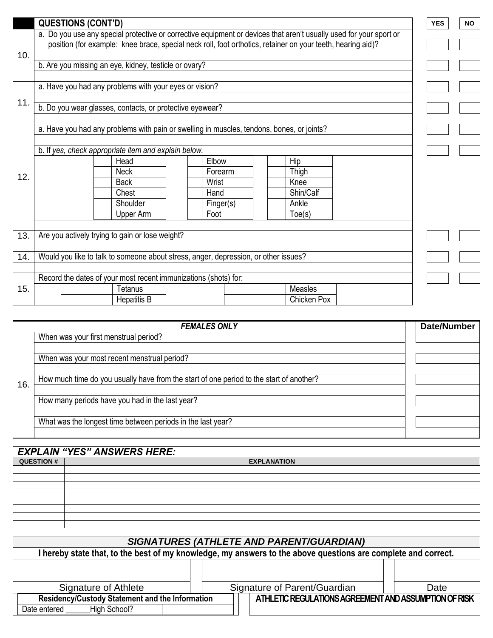|     | <b>QUESTIONS (CONT'D)</b>                                                                                   |                   |                                                                                                                    | <b>YES</b> | <b>NO</b> |  |  |  |
|-----|-------------------------------------------------------------------------------------------------------------|-------------------|--------------------------------------------------------------------------------------------------------------------|------------|-----------|--|--|--|
|     |                                                                                                             |                   | a. Do you use any special protective or corrective equipment or devices that aren't usually used for your sport or |            |           |  |  |  |
|     | position (for example: knee brace, special neck roll, foot orthotics, retainer on your teeth, hearing aid)? |                   |                                                                                                                    |            |           |  |  |  |
| 10. | b. Are you missing an eye, kidney, testicle or ovary?                                                       |                   |                                                                                                                    |            |           |  |  |  |
|     |                                                                                                             |                   |                                                                                                                    |            |           |  |  |  |
|     | a. Have you had any problems with your eyes or vision?                                                      |                   |                                                                                                                    |            |           |  |  |  |
| 11. |                                                                                                             |                   |                                                                                                                    |            |           |  |  |  |
|     | b. Do you wear glasses, contacts, or protective eyewear?                                                    |                   |                                                                                                                    |            |           |  |  |  |
|     | a. Have you had any problems with pain or swelling in muscles, tendons, bones, or joints?                   |                   |                                                                                                                    |            |           |  |  |  |
|     |                                                                                                             |                   |                                                                                                                    |            |           |  |  |  |
|     | b. If yes, check appropriate item and explain below.                                                        |                   |                                                                                                                    |            |           |  |  |  |
|     | Head                                                                                                        | Elbow             | Hip                                                                                                                |            |           |  |  |  |
| 12. | <b>Neck</b>                                                                                                 | Forearm           | Thigh                                                                                                              |            |           |  |  |  |
|     | <b>Back</b>                                                                                                 | Wrist             | Knee                                                                                                               |            |           |  |  |  |
|     | Chest                                                                                                       | Hand              | Shin/Calf                                                                                                          |            |           |  |  |  |
|     | Shoulder<br>Upper Arm                                                                                       | Finger(s)<br>Foot | Ankle<br>Toe(s)                                                                                                    |            |           |  |  |  |
|     |                                                                                                             |                   |                                                                                                                    |            |           |  |  |  |
| 13. | Are you actively trying to gain or lose weight?                                                             |                   |                                                                                                                    |            |           |  |  |  |
|     |                                                                                                             |                   |                                                                                                                    |            |           |  |  |  |
| 14. | Would you like to talk to someone about stress, anger, depression, or other issues?                         |                   |                                                                                                                    |            |           |  |  |  |
|     |                                                                                                             |                   |                                                                                                                    |            |           |  |  |  |
|     | Record the dates of your most recent immunizations (shots) for:                                             |                   |                                                                                                                    |            |           |  |  |  |
| 15. | <b>Tetanus</b><br><b>Hepatitis B</b>                                                                        |                   | Measles<br><b>Chicken Pox</b>                                                                                      |            |           |  |  |  |
|     |                                                                                                             |                   |                                                                                                                    |            |           |  |  |  |

|     | <b>FEMALES ONLY</b>                                                                     | <b>Date/Number</b> |
|-----|-----------------------------------------------------------------------------------------|--------------------|
|     | When was your first menstrual period?                                                   |                    |
|     |                                                                                         |                    |
|     | When was your most recent menstrual period?                                             |                    |
|     |                                                                                         |                    |
| 16. | How much time do you usually have from the start of one period to the start of another? |                    |
|     |                                                                                         |                    |
|     | How many periods have you had in the last year?                                         |                    |
|     |                                                                                         |                    |
|     | What was the longest time between periods in the last year?                             |                    |
|     |                                                                                         |                    |

|                   | <b>EXPLAIN "YES" ANSWERS HERE:</b> |                    |  |
|-------------------|------------------------------------|--------------------|--|
| <b>QUESTION #</b> |                                    | <b>EXPLANATION</b> |  |
|                   |                                    |                    |  |
|                   |                                    |                    |  |
|                   |                                    |                    |  |
|                   |                                    |                    |  |
|                   |                                    |                    |  |
|                   |                                    |                    |  |
|                   |                                    |                    |  |
|                   |                                    |                    |  |

| <b>SIGNATURES (ATHLETE AND PARENT/GUARDIAN)</b>                                                             |  |                                                       |  |  |  |  |  |  |  |
|-------------------------------------------------------------------------------------------------------------|--|-------------------------------------------------------|--|--|--|--|--|--|--|
| hereby state that, to the best of my knowledge, my answers to the above questions are complete and correct. |  |                                                       |  |  |  |  |  |  |  |
|                                                                                                             |  |                                                       |  |  |  |  |  |  |  |
|                                                                                                             |  |                                                       |  |  |  |  |  |  |  |
| Signature of Athlete                                                                                        |  | Signature of Parent/Guardian<br>Date                  |  |  |  |  |  |  |  |
| Residency/Custody Statement and the Information                                                             |  | ATHLETIC REGULATIONS AGREEMENT AND ASSUMPTION OF RISK |  |  |  |  |  |  |  |
| High School?<br>Date entered                                                                                |  |                                                       |  |  |  |  |  |  |  |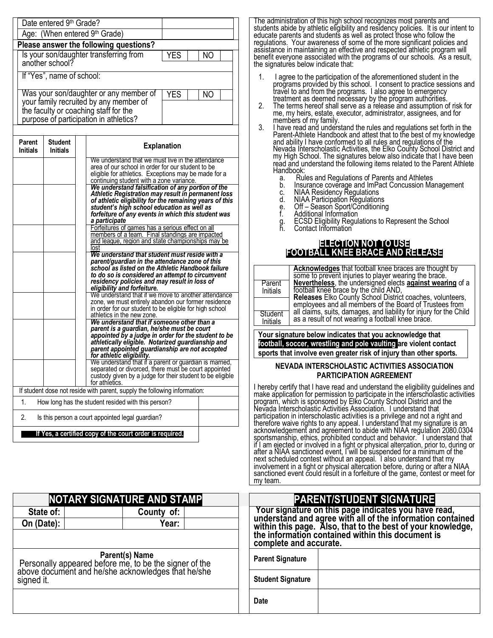| Date entered 9th Grade?                                                         |            |     |  |
|---------------------------------------------------------------------------------|------------|-----|--|
| Age: (When entered 9th Grade)                                                   |            |     |  |
| Please answer the following questions?                                          |            |     |  |
| Is your son/daughter transferring from                                          | <b>YES</b> | ΝO  |  |
| another school?                                                                 |            |     |  |
| If "Yes", name of school:                                                       |            |     |  |
|                                                                                 |            |     |  |
| Was your son/daughter or any member of                                          | <b>YES</b> | NO. |  |
| your family recruited by any member of<br>the faculty or coaching staff for the |            |     |  |
| purpose of participation in athletics?                                          |            |     |  |
|                                                                                 |            |     |  |

| Parent<br><b>Initials</b>                      | <b>Student</b><br><b>Initials</b>                                           | <b>Explanation</b>                                                                                                                              |  |  |  |  |  |  |  |
|------------------------------------------------|-----------------------------------------------------------------------------|-------------------------------------------------------------------------------------------------------------------------------------------------|--|--|--|--|--|--|--|
|                                                |                                                                             | We understand that we must live in the attendance                                                                                               |  |  |  |  |  |  |  |
|                                                |                                                                             | area of our school in order for our student to be                                                                                               |  |  |  |  |  |  |  |
|                                                |                                                                             | eligible for athletics. Exceptions may be made for a                                                                                            |  |  |  |  |  |  |  |
|                                                |                                                                             | continuing student with a zone variance.<br>We understand falsification of any portion of the                                                   |  |  |  |  |  |  |  |
|                                                |                                                                             | Athletic Registration may result in permanent loss                                                                                              |  |  |  |  |  |  |  |
|                                                |                                                                             | of athletic eligibility for the remaining years of this                                                                                         |  |  |  |  |  |  |  |
|                                                |                                                                             | student's high school education as well as                                                                                                      |  |  |  |  |  |  |  |
|                                                |                                                                             | forfeiture of any events in which this student was                                                                                              |  |  |  |  |  |  |  |
|                                                |                                                                             | a participate                                                                                                                                   |  |  |  |  |  |  |  |
|                                                |                                                                             | Forfeitures of games has a serious effect on all                                                                                                |  |  |  |  |  |  |  |
|                                                |                                                                             | members of a team. Final standings are impacted<br>and league, region and state championships may be                                            |  |  |  |  |  |  |  |
|                                                |                                                                             | Tost                                                                                                                                            |  |  |  |  |  |  |  |
| We understand that student must reside with a  |                                                                             |                                                                                                                                                 |  |  |  |  |  |  |  |
| parent/quardian in the attendance zone of this |                                                                             |                                                                                                                                                 |  |  |  |  |  |  |  |
|                                                | school as listed on the Athletic Handbook failure                           |                                                                                                                                                 |  |  |  |  |  |  |  |
|                                                |                                                                             | to do so is considered an attempt to circumvent                                                                                                 |  |  |  |  |  |  |  |
|                                                | residency policies and may result in loss of<br>eligibility and forfeiture. |                                                                                                                                                 |  |  |  |  |  |  |  |
|                                                |                                                                             | We understand that if we move to another attendance                                                                                             |  |  |  |  |  |  |  |
|                                                |                                                                             | zone, we must entirely abandon our former residence                                                                                             |  |  |  |  |  |  |  |
|                                                |                                                                             | in order for our student to be eligible for high school                                                                                         |  |  |  |  |  |  |  |
|                                                |                                                                             | athletics in the new zone.                                                                                                                      |  |  |  |  |  |  |  |
|                                                |                                                                             | We understand that if someone other than a<br>parent is a guardian, he/she must be court<br>appointed by a judge in order for the student to be |  |  |  |  |  |  |  |
|                                                |                                                                             | athletically eligible. Notarized guardianship and                                                                                               |  |  |  |  |  |  |  |
|                                                |                                                                             | parent appointed guardianship are not accepted                                                                                                  |  |  |  |  |  |  |  |
|                                                |                                                                             | for athletic eligibility.                                                                                                                       |  |  |  |  |  |  |  |
|                                                |                                                                             | We understand that if a parent or guardian is married,                                                                                          |  |  |  |  |  |  |  |
|                                                |                                                                             | separated or divorced, there must be court appointed                                                                                            |  |  |  |  |  |  |  |
|                                                |                                                                             | custody given by a judge for their student to be eligible                                                                                       |  |  |  |  |  |  |  |
|                                                |                                                                             | for athletics.                                                                                                                                  |  |  |  |  |  |  |  |
|                                                |                                                                             | If student dose not reside with parent, supply the following information:                                                                       |  |  |  |  |  |  |  |
| 1 <sub>1</sub>                                 | How long has the student resided with this person?                          |                                                                                                                                                 |  |  |  |  |  |  |  |
| 2.                                             |                                                                             | Is this person a court appointed legal guardian?                                                                                                |  |  |  |  |  |  |  |
|                                                | If Yes, a certified copy of the court order is required.                    |                                                                                                                                                 |  |  |  |  |  |  |  |

| <b>NOTARY SIGNATURE AND STAMP</b>                                                                                                                   |            |  |  |  |  |  |  |  |
|-----------------------------------------------------------------------------------------------------------------------------------------------------|------------|--|--|--|--|--|--|--|
| State of:                                                                                                                                           | County of: |  |  |  |  |  |  |  |
| On (Date):                                                                                                                                          | Year:      |  |  |  |  |  |  |  |
|                                                                                                                                                     |            |  |  |  |  |  |  |  |
| <b>Parent(s) Name</b><br>Personally appeared before me, to be the signer of the<br>above document and he/she acknowledges that he/she<br>signed it. |            |  |  |  |  |  |  |  |

The administration of this high school recognizes most parents and students abide by athletic eligibility and residency policies. It is our intent to educate parents and students as well as protect those who follow the regulations. Your awareness of some of the more significant policies and assistance in maintaining an effective and respected athletic program will benefit everyone associated with the programs of our schools. As a result, the signatures below indicate that:

- 1. I agree to the participation of the aforementioned student in the programs provided by this school. I consent to practice sessions and travel to and from the programs. I also agree to emergency treatment as deemed necessary by the program authorities.
- 2. The terms hereof shall serve as a release and assumption of risk for me, my heirs, estate, executor, administrator, assignees, and for members of my family.
- 3. I have read and understand the rules and regulations set forth in the Parent-Athlete Handbook and attest that to the best of my knowledge and ability I have conformed to all rules and regulations of the Nevada Interscholastic Activities, the Elko County School District and my High School. The signatures below also indicate that I have been read and understand the following items related to the Parent Athlete Handbook:
	- a. Rules and Regulations of Parents and Athletes
	- b. Insurance coverage and ImPact Concussion Management
	- c. NIAA Residency Regulations
	- d. NIAA Participation Regulations
	- e. Off Season Sport/Conditioning e. Ott – Season Sport/Co<br>f. Additional Information
	-
	- g. ECSD Eligibility Regulations to Represent the School
	- Contact Information

#### **ELECTION NOT TO USE FOOTBALL KNEE BRACE AND RELEASE**

|                     | Acknowledges that football knee braces are thought by<br>some to prevent injuries to player wearing the brace.              |
|---------------------|-----------------------------------------------------------------------------------------------------------------------------|
| Parent<br>Initials  | Nevertheless, the undersigned elects against wearing of a<br>football knee brace by the child AND,                          |
|                     | <b>Releases</b> Elko County School District coaches, volunteers,<br>employees and all members of the Board of Trustees from |
| Student<br>Initials | all claims, suits, damages, and liability for injury for the Child as a result of not wearing a football knee brace.        |
|                     |                                                                                                                             |

**Your signature below indicates that you acknowledge that football, soccer, wrestling and pole vaulting are violent contact sports that involve even greater risk of injury than other sports.**

#### **NEVADA INTERSCHOLASTIC ACTIVITIES ASSOCIATION PARTICIPATION AGREEMENT**

I hereby certify that I have read and understand the eligibility guidelines and make application for permission to participate in the interscholastic activities program, which is sponsored by Elko County School District and the Nevada Interscholastic Activities Association. I understand that participation in interscholastic activities is a privilege and not a right and therefore waive rights to any appeal. I understand that my signature is an acknowledgement and agreement to abide with NIAA regulation 2080.0304 sportsmanship, ethics, prohibited conduct and behavior. I understand that if I am ejected or involved in a fight or physical altercation, prior to, during or after a NIAA sanctioned event, I will be suspended for a minimum of the next scheduled contest without an appeal. I also understand that my involvement in a fight or physical altercation before, during or after a NIAA sanctioned event could result in a forfeiture of the game, contest or meet for my team.

|           | <b>NOTARY SIGNATURE AND STAMP</b>                                                                                                | <b>PARENT/STUDENT SIGNATURE</b>                                                                                    |  |  |  |  |  |
|-----------|----------------------------------------------------------------------------------------------------------------------------------|--------------------------------------------------------------------------------------------------------------------|--|--|--|--|--|
| State of: | County of:                                                                                                                       | Your signature on this page indicates you have read,<br>understand and agree with all of the information contained |  |  |  |  |  |
| n (Date): | Year:                                                                                                                            | within this page. Also, that to the best of your knowledge,<br>the information contained within this document is   |  |  |  |  |  |
|           |                                                                                                                                  | complete and accurate.                                                                                             |  |  |  |  |  |
|           | <b>Parent(s) Name</b><br>rsonally appeared before me, to be the signer of the<br>ve document and he/she acknowledges that he/she | <b>Parent Signature</b>                                                                                            |  |  |  |  |  |
| ned it.   |                                                                                                                                  | <b>Student Signature</b>                                                                                           |  |  |  |  |  |
|           |                                                                                                                                  | <b>Date</b>                                                                                                        |  |  |  |  |  |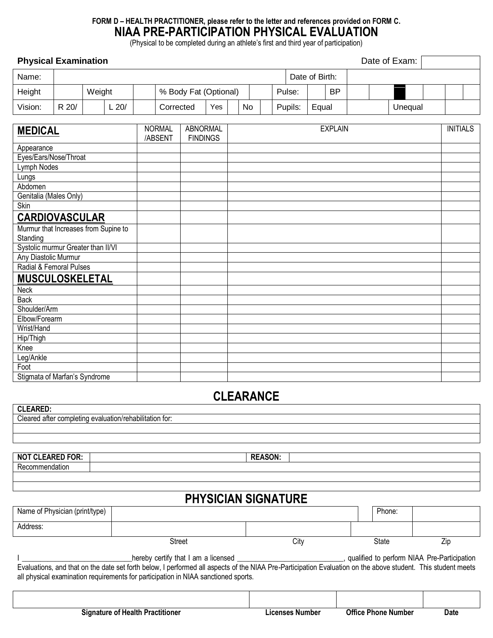## **FORM D – HEALTH PRACTITIONER, please refer to the letter and references provided on FORM C. NIAA PRE-PARTICIPATION PHYSICAL EVALUATION**

(Physical to be completed during an athlete's first and third year of participation)

### **Physical Examination Physical Examination**

| Name:   |       |        |        |                       |     |    |  | Date of Birth: |       |           |  |         |  |  |
|---------|-------|--------|--------|-----------------------|-----|----|--|----------------|-------|-----------|--|---------|--|--|
| Height  |       | Weight |        | % Body Fat (Optional) |     |    |  | Pulse:         |       | <b>BP</b> |  |         |  |  |
| Vision: | R 20/ |        | $-20/$ | Corrected             | Yes | No |  | Pupils:        | Equal |           |  | Unequal |  |  |

| <b>MEDICAL</b>                       | <b>NORMAL</b> | <b>ABNORMAL</b> | <b>EXPLAIN</b> | <b>INITIALS</b> |
|--------------------------------------|---------------|-----------------|----------------|-----------------|
|                                      | /ABSENT       | <b>FINDINGS</b> |                |                 |
| Appearance                           |               |                 |                |                 |
| Eyes/Ears/Nose/Throat                |               |                 |                |                 |
| Lymph Nodes                          |               |                 |                |                 |
| Lungs                                |               |                 |                |                 |
| Abdomen                              |               |                 |                |                 |
| Genitalia (Males Only)               |               |                 |                |                 |
| Skin                                 |               |                 |                |                 |
| <b>CARDIOVASCULAR</b>                |               |                 |                |                 |
| Murmur that Increases from Supine to |               |                 |                |                 |
| Standing                             |               |                 |                |                 |
| Systolic murmur Greater than II/VI   |               |                 |                |                 |
| Any Diastolic Murmur                 |               |                 |                |                 |
| Radial & Femoral Pulses              |               |                 |                |                 |
| MUSCULOSKELETAL                      |               |                 |                |                 |
| Neck                                 |               |                 |                |                 |
| <b>Back</b>                          |               |                 |                |                 |
| Shoulder/Arm                         |               |                 |                |                 |
| Elbow/Forearm                        |               |                 |                |                 |
| Wrist/Hand                           |               |                 |                |                 |
| Hip/Thigh                            |               |                 |                |                 |
| Knee                                 |               |                 |                |                 |
| Leg/Ankle                            |               |                 |                |                 |
| Foot                                 |               |                 |                |                 |
| Stigmata of Marfan's Syndrome        |               |                 |                |                 |

## **CLEARANCE**

**CLEARED:** Cleared after completing evaluation/rehabilitation for:

| <b>NOT CLEARED FOR:</b> | <b>DEACON</b> |
|-------------------------|---------------|
| Кe<br>າdatior           |               |
|                         |               |

## **PHYSICIAN SIGNATURE**

| Name of Physician (print/type)                                                                                                                                                                                                                     |        |      |  | Phone: |     |  |  |  |  |
|----------------------------------------------------------------------------------------------------------------------------------------------------------------------------------------------------------------------------------------------------|--------|------|--|--------|-----|--|--|--|--|
| Address:                                                                                                                                                                                                                                           |        |      |  |        |     |  |  |  |  |
|                                                                                                                                                                                                                                                    | Street | City |  | State  | ∠ip |  |  |  |  |
| qualified to perform NIAA Pre-Participation<br>hereby certify that I am a licensed<br>Evaluations, and that on the date set forth below, I performed all aspects of the NIAA Pre-Participation Evaluation on the above student. This student meets |        |      |  |        |     |  |  |  |  |
| all physical examination requirements for participation in NIAA sanctioned sports.                                                                                                                                                                 |        |      |  |        |     |  |  |  |  |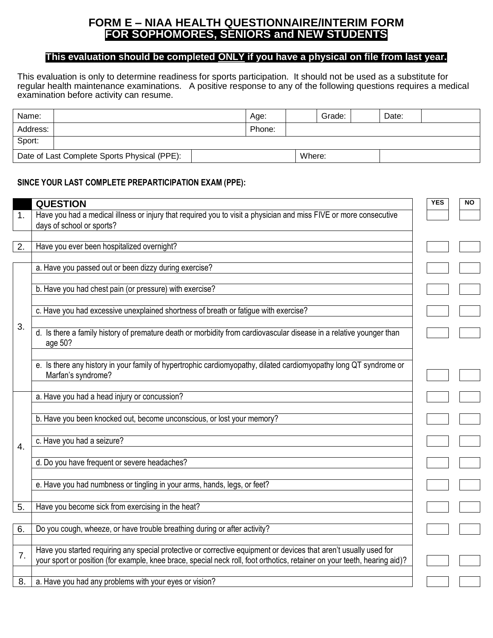## **FORM E – NIAA HEALTH QUESTIONNAIRE/INTERIM FORM FOR SOPHOMORES, SENIORS and NEW STUDENTS**

## **This evaluation should be completed ONLY if you have a physical on file from last year.**

This evaluation is only to determine readiness for sports participation. It should not be used as a substitute for regular health maintenance examinations. A positive response to any of the following questions requires a medical examination before activity can resume.

| Name:                                        |  | Age:   |        | Grade: | Date: |  |
|----------------------------------------------|--|--------|--------|--------|-------|--|
| Address:                                     |  | Phone: |        |        |       |  |
| Sport:                                       |  |        |        |        |       |  |
| Date of Last Complete Sports Physical (PPE): |  |        | Where: |        |       |  |

### **SINCE YOUR LAST COMPLETE PREPARTICIPATION EXAM (PPE):**

|    | <b>QUESTION</b>                                                                                                                                                                                                                                | <b>YES</b> | <b>NO</b> |
|----|------------------------------------------------------------------------------------------------------------------------------------------------------------------------------------------------------------------------------------------------|------------|-----------|
| 1. | Have you had a medical illness or injury that required you to visit a physician and miss FIVE or more consecutive<br>days of school or sports?                                                                                                 |            |           |
|    |                                                                                                                                                                                                                                                |            |           |
| 2. | Have you ever been hospitalized overnight?                                                                                                                                                                                                     |            |           |
|    |                                                                                                                                                                                                                                                |            |           |
|    | a. Have you passed out or been dizzy during exercise?                                                                                                                                                                                          |            |           |
|    | b. Have you had chest pain (or pressure) with exercise?                                                                                                                                                                                        |            |           |
|    | c. Have you had excessive unexplained shortness of breath or fatigue with exercise?                                                                                                                                                            |            |           |
| 3. | d. Is there a family history of premature death or morbidity from cardiovascular disease in a relative younger than<br>age 50?                                                                                                                 |            |           |
|    | e. Is there any history in your family of hypertrophic cardiomyopathy, dilated cardiomyopathy long QT syndrome or<br>Marfan's syndrome?                                                                                                        |            |           |
|    | a. Have you had a head injury or concussion?                                                                                                                                                                                                   |            |           |
|    | b. Have you been knocked out, become unconscious, or lost your memory?                                                                                                                                                                         |            |           |
| 4. | c. Have you had a seizure?                                                                                                                                                                                                                     |            |           |
|    | d. Do you have frequent or severe headaches?                                                                                                                                                                                                   |            |           |
|    | e. Have you had numbness or tingling in your arms, hands, legs, or feet?                                                                                                                                                                       |            |           |
| 5. | Have you become sick from exercising in the heat?                                                                                                                                                                                              |            |           |
|    |                                                                                                                                                                                                                                                |            |           |
| 6. | Do you cough, wheeze, or have trouble breathing during or after activity?                                                                                                                                                                      |            |           |
| 7. | Have you started requiring any special protective or corrective equipment or devices that aren't usually used for<br>your sport or position (for example, knee brace, special neck roll, foot orthotics, retainer on your teeth, hearing aid)? |            |           |
| 8. | a. Have you had any problems with your eyes or vision?                                                                                                                                                                                         |            |           |
|    |                                                                                                                                                                                                                                                |            |           |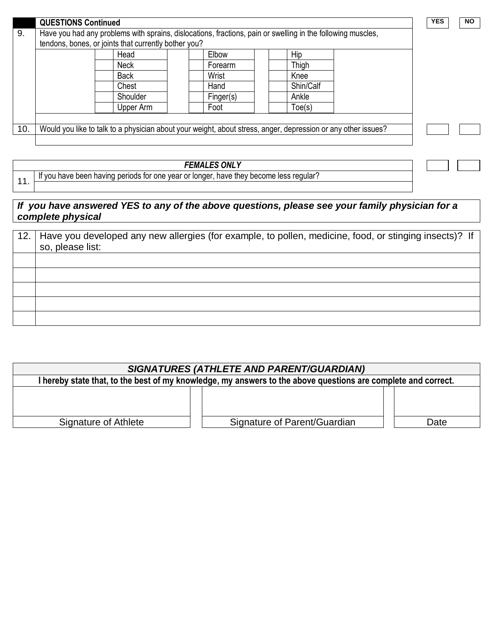|     | <b>QUESTIONS Continued</b> |                                                      |           |                                                                                                               | <b>YES</b> | <b>NO</b> |
|-----|----------------------------|------------------------------------------------------|-----------|---------------------------------------------------------------------------------------------------------------|------------|-----------|
| 9.  |                            |                                                      |           | Have you had any problems with sprains, dislocations, fractions, pain or swelling in the following muscles,   |            |           |
|     |                            | tendons, bones, or joints that currently bother you? |           |                                                                                                               |            |           |
|     |                            | Head                                                 | Elbow     | Hip                                                                                                           |            |           |
|     |                            | <b>Neck</b>                                          | Forearm   | Thigh                                                                                                         |            |           |
|     |                            | <b>Back</b>                                          | Wrist     | Knee                                                                                                          |            |           |
|     |                            | Chest                                                | Hand      | Shin/Calf                                                                                                     |            |           |
|     |                            | Shoulder                                             | Finger(s) | Ankle                                                                                                         |            |           |
|     |                            | Upper Arm                                            | Foot      | Toe(s)                                                                                                        |            |           |
|     |                            |                                                      |           |                                                                                                               |            |           |
| 10. |                            |                                                      |           | Would you like to talk to a physician about your weight, about stress, anger, depression or any other issues? |            |           |
|     |                            |                                                      |           |                                                                                                               |            |           |

| <b>FEMALES ONLY</b>                                                                    |
|----------------------------------------------------------------------------------------|
| If you have been having periods for one year or longer, have they become less regular? |
|                                                                                        |

## *If you have answered YES to any of the above questions, please see your family physician for a complete physical*

| 12. | Have you developed any new allergies (for example, to pollen, medicine, food, or stinging insects)? If<br>so, please list: |
|-----|----------------------------------------------------------------------------------------------------------------------------|
|     |                                                                                                                            |
|     |                                                                                                                            |
|     |                                                                                                                            |
|     |                                                                                                                            |
|     |                                                                                                                            |

| <b>SIGNATURES (ATHLETE AND PARENT/GUARDIAN)</b>                                                               |                              |      |  |  |  |
|---------------------------------------------------------------------------------------------------------------|------------------------------|------|--|--|--|
| I hereby state that, to the best of my knowledge, my answers to the above questions are complete and correct. |                              |      |  |  |  |
|                                                                                                               |                              |      |  |  |  |
| Signature of Athlete                                                                                          | Signature of Parent/Guardian | Date |  |  |  |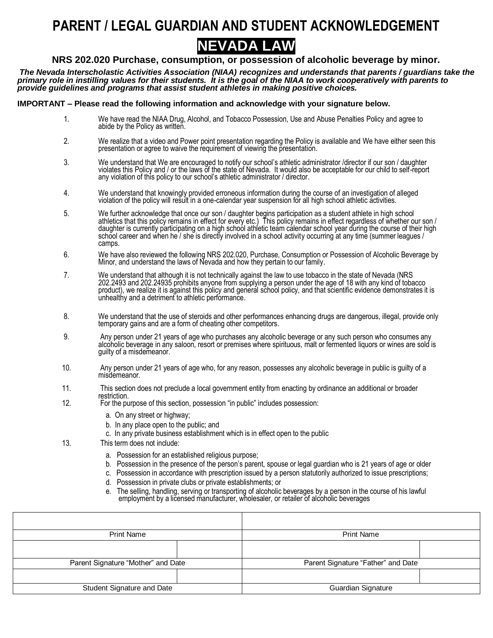# **PARENT / LEGAL GUARDIAN AND STUDENT ACKNOWLEDGEMENT**



### **NRS 202.020 Purchase, consumption, or possession of alcoholic beverage by minor.**

*The Nevada Interscholastic Activities Association (NIAA) recognizes and understands that parents / guardians take the primary role in instilling values for their students. It is the goal of the NIAA to work cooperatively with parents to provide guidelines and programs that assist student athletes in making positive choices.*

#### **IMPORTANT – Please read the following information and acknowledge with your signature below.**

- 1. We have read the NIAA Drug, Alcohol, and Tobacco Possession, Use and Abuse Penalties Policy and agree to abide by the Policy as written.
- 2. We realize that a video and Power point presentation regarding the Policy is available and We have either seen this presentation or agree to waive the requirement of viewing the presentation.
- 3. We understand that We are encouraged to notify our school's athletic administrator /director if our son / daughter violates this Policy and / or the laws of the state of Nevada. It would also be acceptable for our child to self-report any violation of this policy to our school's athletic administrator / director.
- 4. We understand that knowingly provided erroneous information during the course of an investigation of alleged violation of the policy will result in a one-calendar year suspension for all high school athletic activities.
- 5. We further acknowledge that once our son / daughter begins participation as a student athlete in high school athletics that this policy remains in effect for every etc.) This policy remains in effect regardless of whether our son / daughter is currently participating on a high school athletic team calendar school year during the course of their high school career and when he'/ she is directly involved in a school activity occurring at any time (summer leagues / camps.
- 6. We have also reviewed the following NRS 202.020, Purchase, Consumption or Possession of Alcoholic Beverage by Minor, and understand the laws of Nevada and how they pertain to our family.
- 7. We understand that although it is not technically against the law to use tobacco in the state of Nevada (NRS 202.2493 and 202.24935 prohibits anyone from supplying a person under the age of 18 with any kind of tobacco product), we realize it is against this policy and general school policy, and that scientific evidence demonstrates it is unhealthy and a detriment to athletic performance.
- 8. We understand that the use of steroids and other performances enhancing drugs are dangerous, illegal, provide only temporary gains and are a form of cheating other competitors.
- 9. Any person under 21 years of age who purchases any alcoholic beverage or any such person who consumes any alcoholic beverage in any saloon, resort or premises where spirituous, malt or fermented liquors or wines are sold is guilty of a misdemeanor.
- 10. Any person under 21 years of age who, for any reason, possesses any alcoholic beverage in public is guilty of a misdemeanor.
- 11. This section does not preclude a local government entity from enacting by ordinance an additional or broader restriction.
- 12. For the purpose of this section, possession "in public" includes possession:
	- a. On any street or highway;
	- b. In any place open to the public; and
	- c. In any private business establishment which is in effect open to the public
- 13. This term does not include:
	- a. Possession for an established religious purpose;
	- b. Possession in the presence of the person's parent, spouse or legal guardian who is 21 years of age or older
	- c. Possession in accordance with prescription issued by a person statutorily authorized to issue prescriptions;
	- d. Possession in private clubs or private establishments; or
	- e. The selling, handling, serving or transporting of alcoholic beverages by a person in the course of his lawful employment by a licensed manufacturer, wholesaler, or retailer of alcoholic beverages

| <b>Print Name</b>                  | <b>Print Name</b>                  |
|------------------------------------|------------------------------------|
|                                    |                                    |
| Parent Signature "Mother" and Date | Parent Signature "Father" and Date |
|                                    |                                    |
| Student Signature and Date         | <b>Guardian Signature</b>          |
|                                    |                                    |